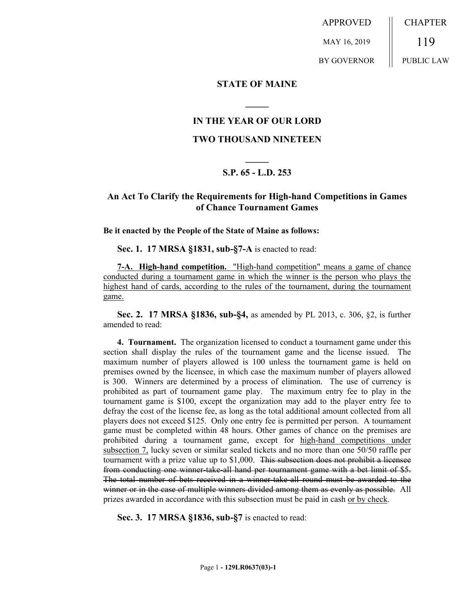APPROVED MAY 16, 2019 BY GOVERNOR CHAPTER 119 PUBLIC LAW

#### **STATE OF MAINE**

### **IN THE YEAR OF OUR LORD**

**\_\_\_\_\_**

#### **TWO THOUSAND NINETEEN**

# **\_\_\_\_\_ S.P. 65 - L.D. 253**

## **An Act To Clarify the Requirements for High-hand Competitions in Games of Chance Tournament Games**

**Be it enacted by the People of the State of Maine as follows:**

**Sec. 1. 17 MRSA §1831, sub-§7-A** is enacted to read:

**7-A. High-hand competition.** "High-hand competition" means a game of chance conducted during a tournament game in which the winner is the person who plays the highest hand of cards, according to the rules of the tournament, during the tournament game.

**Sec. 2. 17 MRSA §1836, sub-§4,** as amended by PL 2013, c. 306, §2, is further amended to read:

**4. Tournament.** The organization licensed to conduct a tournament game under this section shall display the rules of the tournament game and the license issued. The maximum number of players allowed is 100 unless the tournament game is held on premises owned by the licensee, in which case the maximum number of players allowed is 300. Winners are determined by a process of elimination. The use of currency is prohibited as part of tournament game play. The maximum entry fee to play in the tournament game is \$100, except the organization may add to the player entry fee to defray the cost of the license fee, as long as the total additional amount collected from all players does not exceed \$125. Only one entry fee is permitted per person. A tournament game must be completed within 48 hours. Other games of chance on the premises are prohibited during a tournament game, except for high-hand competitions under subsection 7, lucky seven or similar sealed tickets and no more than one 50/50 raffle per tournament with a prize value up to \$1,000. This subsection does not prohibit a licensee from conducting one winner-take-all hand per tournament game with a bet limit of \$5. The total number of bets received in a winner-take-all round must be awarded to the winner or in the case of multiple winners divided among them as evenly as possible. All prizes awarded in accordance with this subsection must be paid in cash or by check.

**Sec. 3. 17 MRSA §1836, sub-§7** is enacted to read: